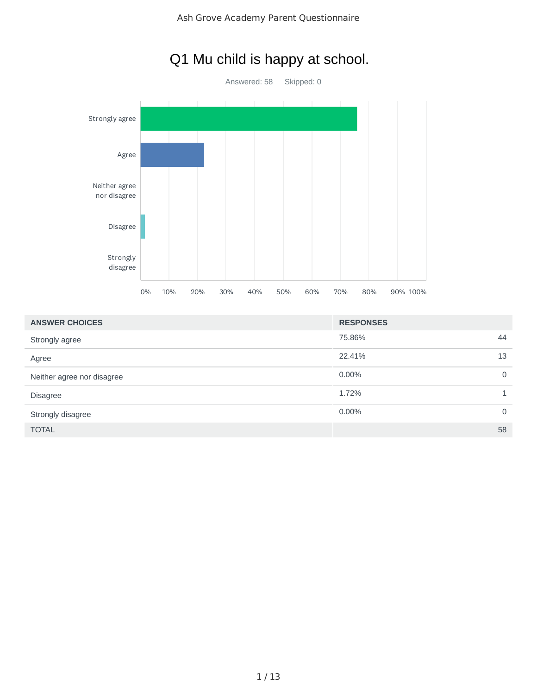

## Q1 Mu child is happy at school.

| <b>ANSWER CHOICES</b>      | <b>RESPONSES</b> |          |
|----------------------------|------------------|----------|
| Strongly agree             | 75.86%           | 44       |
| Agree                      | 22.41%           | 13       |
| Neither agree nor disagree | $0.00\%$         | 0        |
| <b>Disagree</b>            | 1.72%            |          |
| Strongly disagree          | $0.00\%$         | $\Omega$ |
| <b>TOTAL</b>               |                  | 58       |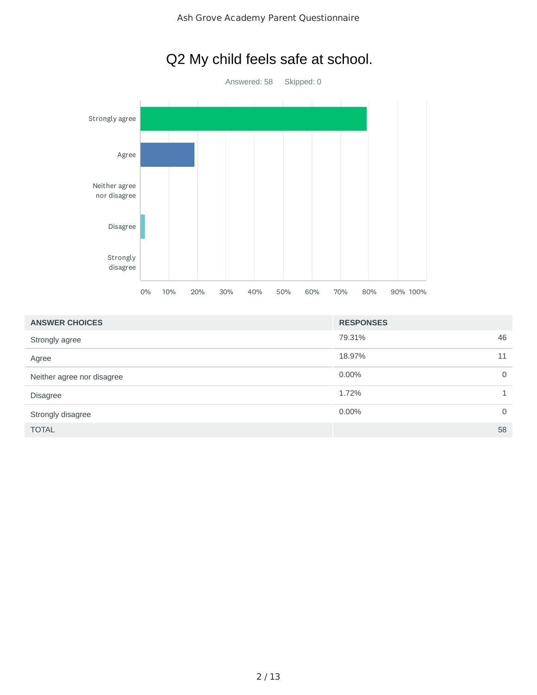

| <b>ANSWER CHOICES</b>      | <b>RESPONSES</b> |    |
|----------------------------|------------------|----|
| Strongly agree             | 79.31%           | 46 |
| Agree                      | 18.97%           | 11 |
| Neither agree nor disagree | 0.00%            | 0  |
| <b>Disagree</b>            | 1.72%            |    |
| Strongly disagree          | 0.00%            | 0  |
| <b>TOTAL</b>               |                  | 58 |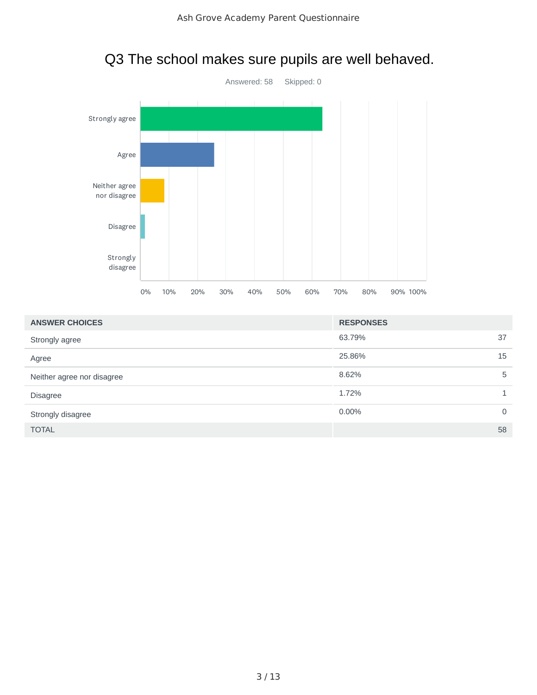

#### Q3 The school makes sure pupils are well behaved.

| <b>ANSWER CHOICES</b>      | <b>RESPONSES</b> |          |
|----------------------------|------------------|----------|
| Strongly agree             | 63.79%<br>37     |          |
| Agree                      | 25.86%<br>15     |          |
| Neither agree nor disagree | 8.62%            | 5        |
| Disagree                   | 1.72%            |          |
| Strongly disagree          | 0.00%            | $\Omega$ |
| <b>TOTAL</b>               | 58               |          |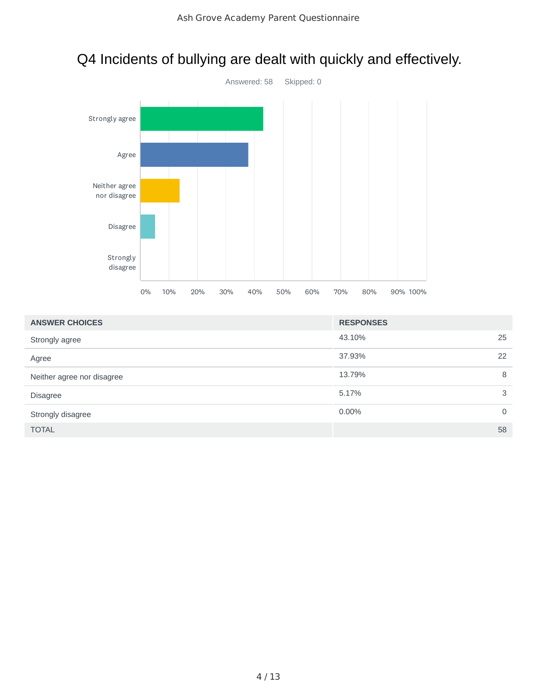

## Q4 Incidents of bullying are dealt with quickly and effectively.

|  |  |  |  | 0% 10% 20% 30% 40% 50% 60% 70% 80% 90%100% |
|--|--|--|--|--------------------------------------------|

| <b>ANSWER CHOICES</b>      | <b>RESPONSES</b> |             |
|----------------------------|------------------|-------------|
| Strongly agree             | 43.10%           | 25          |
| Agree                      | 37.93%           | 22          |
| Neither agree nor disagree | 13.79%           | 8           |
| <b>Disagree</b>            | 5.17%            | 3           |
| Strongly disagree          | 0.00%            | $\mathbf 0$ |
| <b>TOTAL</b>               |                  | 58          |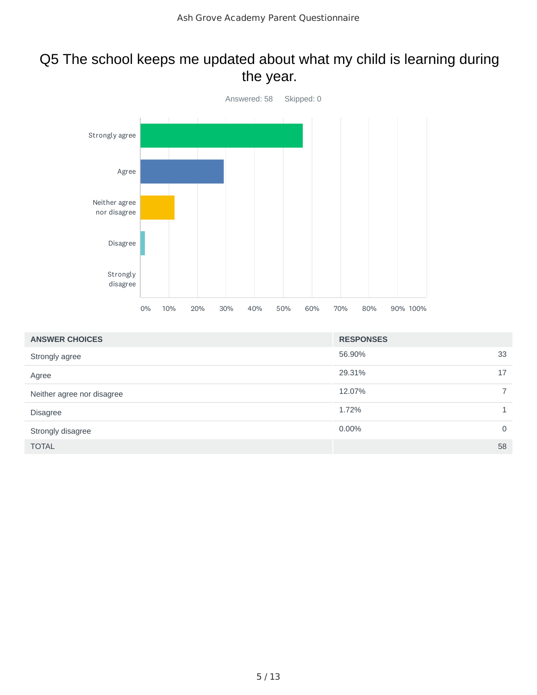#### Q5 The school keeps me updated about what my child is learning during the year.



| <b>ANSWER CHOICES</b>      | <b>RESPONSES</b> |                |
|----------------------------|------------------|----------------|
| Strongly agree             | 56.90%           | 33             |
| Agree                      | 29.31%           | 17             |
| Neither agree nor disagree | 12.07%           | $\overline{7}$ |
| <b>Disagree</b>            | 1.72%            |                |
| Strongly disagree          | 0.00%            | $\mathbf 0$    |
| <b>TOTAL</b>               |                  | 58             |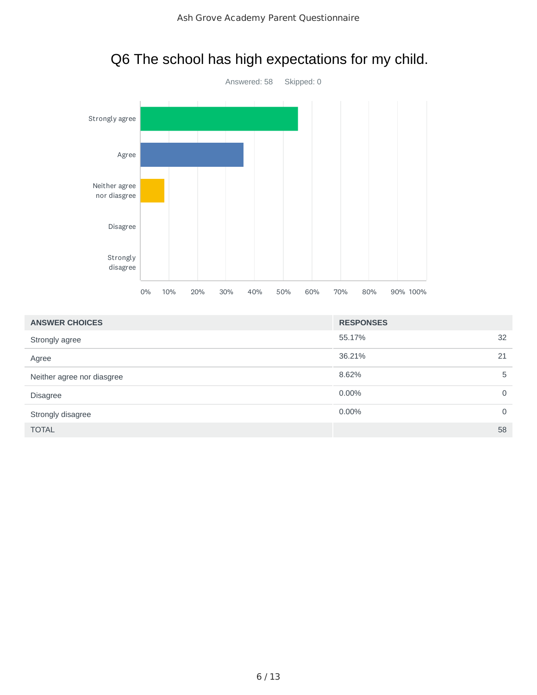

|  |  |  | Q6 The school has high expectations for my child. |  |  |
|--|--|--|---------------------------------------------------|--|--|
|--|--|--|---------------------------------------------------|--|--|

| <b>ANSWER CHOICES</b>      | <b>RESPONSES</b> |    |
|----------------------------|------------------|----|
| Strongly agree             | 55.17%           | 32 |
| Agree                      | 36.21%<br>21     |    |
| Neither agree nor diasgree | 8.62%            | 5  |
| <b>Disagree</b>            | 0.00%            | 0  |
| Strongly disagree          | $0.00\%$         | 0  |
| <b>TOTAL</b>               |                  | 58 |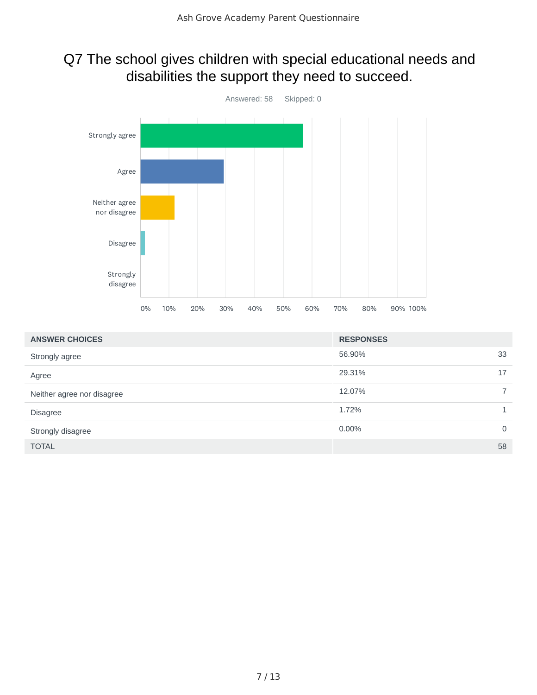#### Q7 The school gives children with special educational needs and disabilities the support they need to succeed.



| <b>ANSWER CHOICES</b>      | <b>RESPONSES</b> |                |
|----------------------------|------------------|----------------|
| Strongly agree             | 56.90%           | 33             |
| Agree                      | 29.31%           | 17             |
| Neither agree nor disagree | 12.07%           | $\overline{7}$ |
| Disagree                   | 1.72%            | 1              |
| Strongly disagree          | 0.00%            | $\mathbf 0$    |
| <b>TOTAL</b>               |                  | 58             |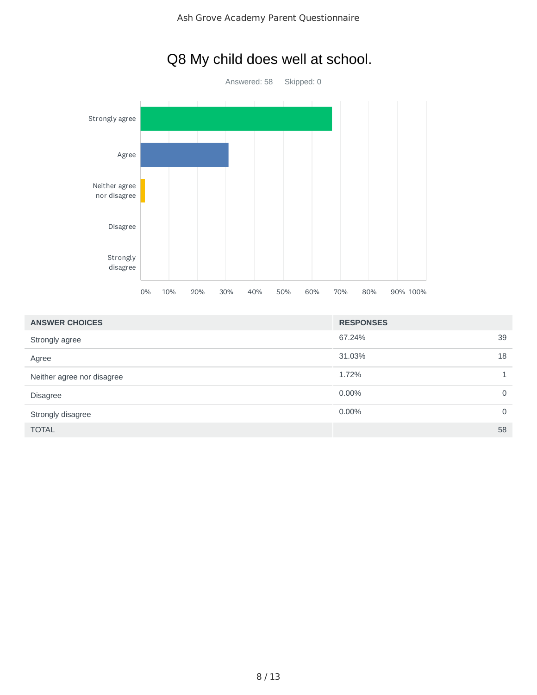

## Q8 My child does well at school.

| <b>ANSWER CHOICES</b>      | <b>RESPONSES</b> |              |
|----------------------------|------------------|--------------|
| Strongly agree             | 67.24%           | 39           |
| Agree                      | 31.03%           | 18           |
| Neither agree nor disagree | 1.72%            |              |
| <b>Disagree</b>            | 0.00%            | 0            |
| Strongly disagree          | 0.00%            | $\mathbf{0}$ |
| <b>TOTAL</b>               |                  | 58           |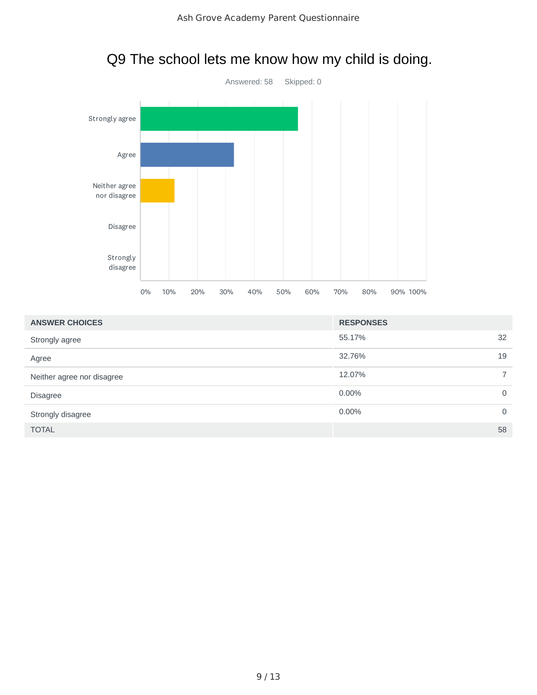

| <b>ANSWER CHOICES</b>      | <b>RESPONSES</b> |                |
|----------------------------|------------------|----------------|
| Strongly agree             | 55.17%           | 32             |
| Agree                      | 32.76%           | 19             |
| Neither agree nor disagree | 12.07%           | $\overline{7}$ |
| Disagree                   | 0.00%            | $\mathbf 0$    |
| Strongly disagree          | 0.00%            | $\mathbf 0$    |
| <b>TOTAL</b>               |                  | 58             |

## Q9 The school lets me know how my child is doing.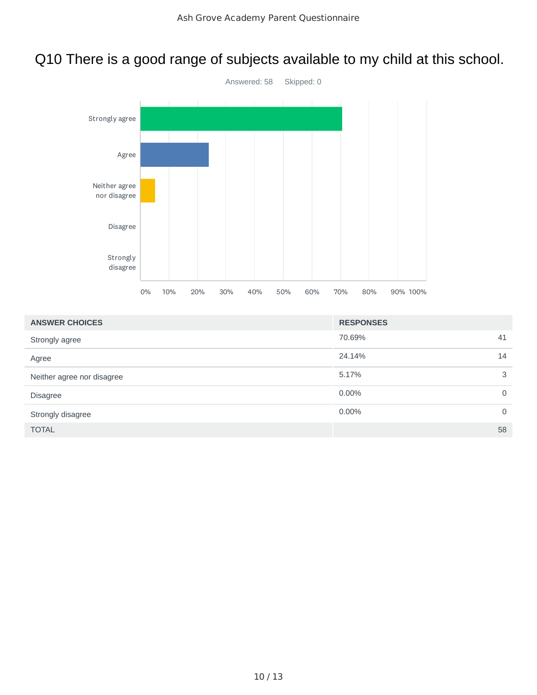### Q10 There is a good range of subjects available to my child at this school.



| <b>ANSWER CHOICES</b>      | <b>RESPONSES</b> |              |
|----------------------------|------------------|--------------|
| Strongly agree             | 70.69%           | 41           |
| Agree                      | 24.14%           | 14           |
| Neither agree nor disagree | 5.17%            | 3            |
| <b>Disagree</b>            | 0.00%            | $\mathbf{0}$ |
| Strongly disagree          | 0.00%            | $\mathbf{0}$ |
| <b>TOTAL</b>               |                  | 58           |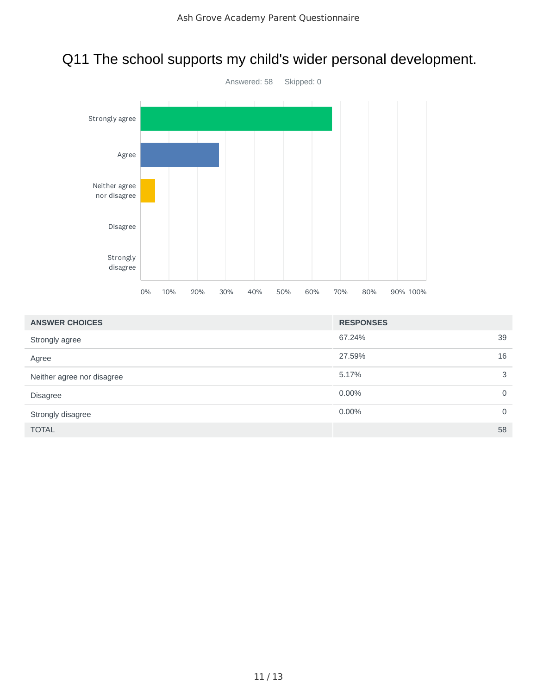### Q11 The school supports my child's wider personal development.



| <b>ANSWER CHOICES</b>      | <b>RESPONSES</b> |              |
|----------------------------|------------------|--------------|
| Strongly agree             | 67.24%           | 39           |
| Agree                      | 27.59%           | 16           |
| Neither agree nor disagree | 5.17%            | 3            |
| <b>Disagree</b>            | 0.00%            | 0            |
| Strongly disagree          | 0.00%            | $\mathbf{0}$ |
| <b>TOTAL</b>               |                  | 58           |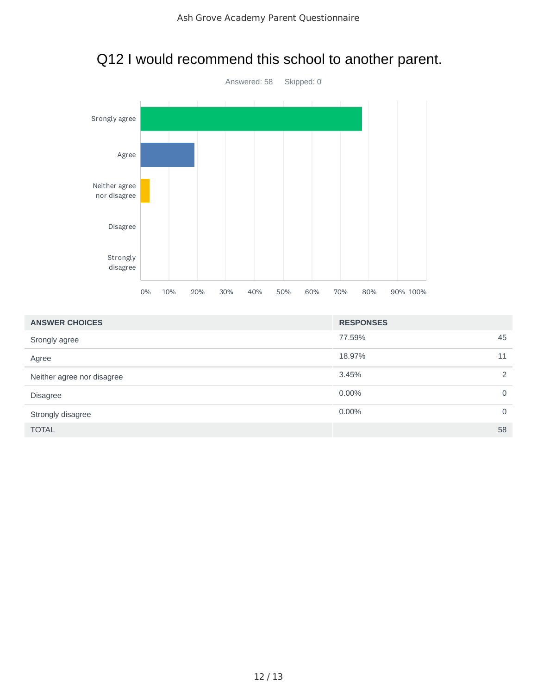# Q12 I would recommend this school to another parent.



| <b>ANSWER CHOICES</b>      | <b>RESPONSES</b>  |
|----------------------------|-------------------|
| Srongly agree              | 77.59%<br>45      |
| Agree                      | 18.97%<br>11      |
| Neither agree nor disagree | 3.45%<br>2        |
| <b>Disagree</b>            | 0.00%<br>$\Omega$ |
| Strongly disagree          | 0.00%<br>$\Omega$ |
| <b>TOTAL</b>               | 58                |